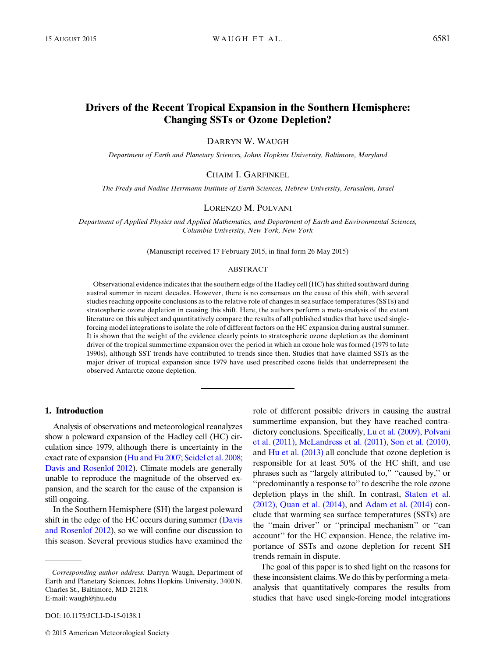# Drivers of the Recent Tropical Expansion in the Southern Hemisphere: Changing SSTs or Ozone Depletion?

DARRYN W. WAUGH

Department of Earth and Planetary Sciences, Johns Hopkins University, Baltimore, Maryland

## CHAIM I. GARFINKEL

The Fredy and Nadine Herrmann Institute of Earth Sciences, Hebrew University, Jerusalem, Israel

## LORENZO M. POLVANI

Department of Applied Physics and Applied Mathematics, and Department of Earth and Environmental Sciences, Columbia University, New York, New York

(Manuscript received 17 February 2015, in final form 26 May 2015)

## ABSTRACT

Observational evidence indicates that the southern edge of the Hadley cell (HC) has shifted southward during austral summer in recent decades. However, there is no consensus on the cause of this shift, with several studies reaching opposite conclusions as to the relative role of changes in sea surface temperatures (SSTs) and stratospheric ozone depletion in causing this shift. Here, the authors perform a meta-analysis of the extant literature on this subject and quantitatively compare the results of all published studies that have used singleforcing model integrations to isolate the role of different factors on the HC expansion during austral summer. It is shown that the weight of the evidence clearly points to stratospheric ozone depletion as the dominant driver of the tropical summertime expansion over the period in which an ozone hole was formed (1979 to late 1990s), although SST trends have contributed to trends since then. Studies that have claimed SSTs as the major driver of tropical expansion since 1979 have used prescribed ozone fields that underrepresent the observed Antarctic ozone depletion.

## 1. Introduction

Analysis of observations and meteorological reanalyzes show a poleward expansion of the Hadley cell (HC) circulation since 1979, although there is uncertainty in the exact rate of expansion [\(Hu and Fu 2007](#page-5-0); [Seidel et al. 2008;](#page-5-1) [Davis and Rosenlof 2012](#page-5-2)). Climate models are generally unable to reproduce the magnitude of the observed expansion, and the search for the cause of the expansion is still ongoing.

In the Southern Hemisphere (SH) the largest poleward shift in the edge of the HC occurs during summer ([Davis](#page-5-2) [and Rosenlof 2012](#page-5-2)), so we will confine our discussion to this season. Several previous studies have examined the

2015 American Meteorological Society

role of different possible drivers in causing the austral summertime expansion, but they have reached contradictory conclusions. Specifically, [Lu et al. \(2009\)](#page-5-3), [Polvani](#page-5-4) [et al. \(2011\)](#page-5-4), [McLandress et al. \(2011\)](#page-5-5), [Son et al. \(2010\),](#page-5-6) and [Hu et al. \(2013\)](#page-5-7) all conclude that ozone depletion is responsible for at least 50% of the HC shift, and use phrases such as "largely attributed to," "caused by," or ''predominantly a response to'' to describe the role ozone depletion plays in the shift. In contrast, [Staten et al.](#page-5-8) [\(2012\),](#page-5-8) [Quan et al. \(2014\),](#page-5-9) and [Adam et al. \(2014\)](#page-4-0) conclude that warming sea surface temperatures (SSTs) are the ''main driver'' or ''principal mechanism'' or ''can account'' for the HC expansion. Hence, the relative importance of SSTs and ozone depletion for recent SH trends remain in dispute.

The goal of this paper is to shed light on the reasons for these inconsistent claims.We do this by performing a metaanalysis that quantitatively compares the results from studies that have used single-forcing model integrations

Corresponding author address: Darryn Waugh, Department of Earth and Planetary Sciences, Johns Hopkins University, 3400 N. Charles St., Baltimore, MD 21218. E-mail: [waugh@jhu.edu](mailto:waugh@jhu.edu)

DOI: 10.1175/JCLI-D-15-0138.1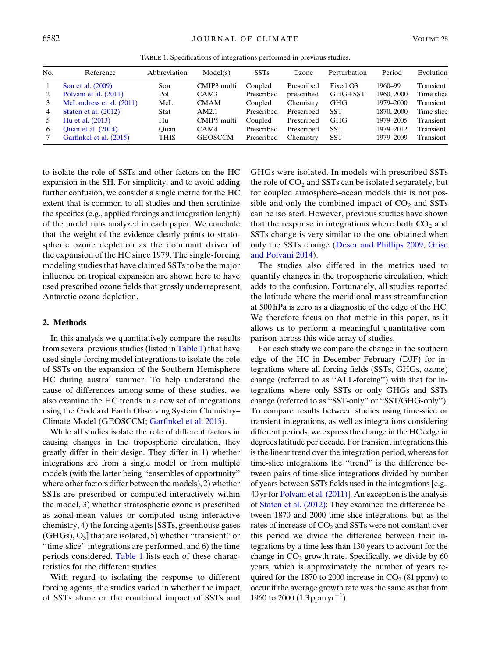<span id="page-1-0"></span>

| No. | Reference                 | Abbreviation | Model(s)       | <b>SSTs</b> | Ozone      | Perturbation | Period     | Evolution  |
|-----|---------------------------|--------------|----------------|-------------|------------|--------------|------------|------------|
|     | Son et al. (2009)         | Son          | CMIP3 multi    | Coupled     | Prescribed | Fixed O3     | 1960-99    | Transient  |
|     | Polvani et al. (2011)     | Pol          | CAM3           | Prescribed  | prescribed | GHG+SST      | 1960, 2000 | Time slice |
|     | McLandress et al. (2011)  | McL          | <b>CMAM</b>    | Coupled     | Chemistry  | <b>GHG</b>   | 1979–2000  | Transient  |
| 4   | Staten et al. (2012)      | <b>Stat</b>  | AM2.1          | Prescribed  | Prescribed | <b>SST</b>   | 1870, 2000 | Time slice |
| 5.  | Hu et al. (2013)          | Hu           | CMIP5 multi    | Coupled     | Prescribed | <b>GHG</b>   | 1979-2005  | Transient  |
| 6   | <b>Ouan et al.</b> (2014) | Ouan         | CAM4           | Prescribed  | Prescribed | <b>SST</b>   | 1979-2012  | Transient  |
|     | Garfinkel et al. (2015)   | <b>THIS</b>  | <b>GEOSCCM</b> | Prescribed  | Chemistry  | <b>SST</b>   | 1979-2009  | Transient  |

TABLE 1. Specifications of integrations performed in previous studies.

to isolate the role of SSTs and other factors on the HC expansion in the SH. For simplicity, and to avoid adding further confusion, we consider a single metric for the HC extent that is common to all studies and then scrutinize the specifics (e.g., applied forcings and integration length) of the model runs analyzed in each paper. We conclude that the weight of the evidence clearly points to stratospheric ozone depletion as the dominant driver of the expansion of the HC since 1979. The single-forcing modeling studies that have claimed SSTs to be the major influence on tropical expansion are shown here to have used prescribed ozone fields that grossly underrepresent Antarctic ozone depletion.

## 2. Methods

In this analysis we quantitatively compare the results from several previous studies (listed in [Table 1\)](#page-1-0) that have used single-forcing model integrations to isolate the role of SSTs on the expansion of the Southern Hemisphere HC during austral summer. To help understand the cause of differences among some of these studies, we also examine the HC trends in a new set of integrations using the Goddard Earth Observing System Chemistry– Climate Model (GEOSCCM; [Garfinkel et al. 2015](#page-5-10)).

While all studies isolate the role of different factors in causing changes in the tropospheric circulation, they greatly differ in their design. They differ in 1) whether integrations are from a single model or from multiple models (with the latter being ''ensembles of opportunity'' where other factors differ between the models), 2) whether SSTs are prescribed or computed interactively within the model, 3) whether stratospheric ozone is prescribed as zonal-mean values or computed using interactive chemistry, 4) the forcing agents [SSTs, greenhouse gases  $(GHGs), O<sub>3</sub>$  that are isolated, 5) whether "transient" or ''time-slice'' integrations are performed, and 6) the time periods considered. [Table 1](#page-1-0) lists each of these characteristics for the different studies.

With regard to isolating the response to different forcing agents, the studies varied in whether the impact of SSTs alone or the combined impact of SSTs and

GHGs were isolated. In models with prescribed SSTs the role of  $CO<sub>2</sub>$  and SSTs can be isolated separately, but for coupled atmosphere–ocean models this is not possible and only the combined impact of  $CO<sub>2</sub>$  and SSTs can be isolated. However, previous studies have shown that the response in integrations where both  $CO<sub>2</sub>$  and SSTs change is very similar to the one obtained when only the SSTs change [\(Deser and Phillips 2009;](#page-5-11) [Grise](#page-5-12) [and Polvani 2014\)](#page-5-12).

The studies also differed in the metrics used to quantify changes in the tropospheric circulation, which adds to the confusion. Fortunately, all studies reported the latitude where the meridional mass streamfunction at 500 hPa is zero as a diagnostic of the edge of the HC. We therefore focus on that metric in this paper, as it allows us to perform a meaningful quantitative comparison across this wide array of studies.

For each study we compare the change in the southern edge of the HC in December–February (DJF) for integrations where all forcing fields (SSTs, GHGs, ozone) change (referred to as ''ALL-forcing'') with that for integrations where only SSTs or only GHGs and SSTs change (referred to as ''SST-only'' or ''SST/GHG-only''). To compare results between studies using time-slice or transient integrations, as well as integrations considering different periods, we express the change in the HC edge in degrees latitude per decade. For transient integrations this is the linear trend over the integration period, whereas for time-slice integrations the ''trend'' is the difference between pairs of time-slice integrations divided by number of years between SSTs fields used in the integrations [e.g., 40 yr for [Polvani et al. \(2011\)\]](#page-5-4). An exception is the analysis of [Staten et al. \(2012\):](#page-5-8) They examined the difference between 1870 and 2000 time slice integrations, but as the rates of increase of  $CO<sub>2</sub>$  and SSTs were not constant over this period we divide the difference between their integrations by a time less than 130 years to account for the change in  $CO<sub>2</sub>$  growth rate. Specifically, we divide by 60 years, which is approximately the number of years required for the 1870 to 2000 increase in  $CO<sub>2</sub>$  (81 ppmv) to occur if the average growth rate was the same as that from 1960 to 2000  $(1.3 \text{ ppm yr}^{-1})$ .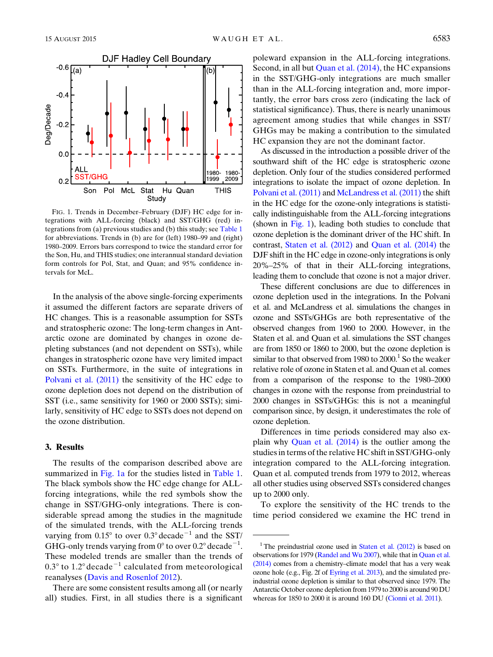<span id="page-2-0"></span>

FIG. 1. Trends in December–February (DJF) HC edge for integrations with ALL-forcing (black) and SST/GHG (red) integrations from (a) previous studies and (b) this study; see [Table 1](#page-1-0) for abbreviations. Trends in (b) are for (left) 1980–99 and (right) 1980–2009. Errors bars correspond to twice the standard error for the Son, Hu, and THIS studies; one interannual standard deviation form controls for Pol, Stat, and Quan; and 95% confidence intervals for McL.

In the analysis of the above single-forcing experiments it assumed the different factors are separate drivers of HC changes. This is a reasonable assumption for SSTs and stratospheric ozone: The long-term changes in Antarctic ozone are dominated by changes in ozone depleting substances (and not dependent on SSTs), while changes in stratospheric ozone have very limited impact on SSTs. Furthermore, in the suite of integrations in [Polvani et al. \(2011\)](#page-5-4) the sensitivity of the HC edge to ozone depletion does not depend on the distribution of SST (i.e., same sensitivity for 1960 or 2000 SSTs); similarly, sensitivity of HC edge to SSTs does not depend on the ozone distribution.

## 3. Results

The results of the comparison described above are summarized in [Fig. 1a](#page-2-0) for the studies listed in [Table 1.](#page-1-0) The black symbols show the HC edge change for ALLforcing integrations, while the red symbols show the change in SST/GHG-only integrations. There is considerable spread among the studies in the magnitude of the simulated trends, with the ALL-forcing trends varying from  $0.15^{\circ}$  to over  $0.3^{\circ}$  decade<sup>-1</sup> and the SST/ GHG-only trends varying from  $0^{\circ}$  to over  $0.2^{\circ}$  decade<sup>-1</sup>. These modeled trends are smaller than the trends of  $0.3^{\circ}$  to  $1.2^{\circ}$  decade<sup>-1</sup> calculated from meteorological reanalyses ([Davis and Rosenlof 2012\)](#page-5-2).

There are some consistent results among all (or nearly all) studies. First, in all studies there is a significant

poleward expansion in the ALL-forcing integrations. Second, in all but [Quan et al. \(2014\)](#page-5-9), the HC expansions in the SST/GHG-only integrations are much smaller than in the ALL-forcing integration and, more importantly, the error bars cross zero (indicating the lack of statistical significance). Thus, there is nearly unanimous agreement among studies that while changes in SST/ GHGs may be making a contribution to the simulated HC expansion they are not the dominant factor.

As discussed in the introduction a possible driver of the southward shift of the HC edge is stratospheric ozone depletion. Only four of the studies considered performed integrations to isolate the impact of ozone depletion. In [Polvani et al. \(2011\)](#page-5-4) and [McLandress et al. \(2011\)](#page-5-5) the shift in the HC edge for the ozone-only integrations is statistically indistinguishable from the ALL-forcing integrations (shown in [Fig. 1\)](#page-2-0), leading both studies to conclude that ozone depletion is the dominant driver of the HC shift. In contrast, [Staten et al. \(2012\)](#page-5-8) and [Quan et al. \(2014\)](#page-5-9) the DJF shift in the HC edge in ozone-only integrations is only 20%–25% of that in their ALL-forcing integrations, leading them to conclude that ozone is not a major driver.

These different conclusions are due to differences in ozone depletion used in the integrations. In the Polvani et al. and McLandress et al. simulations the changes in ozone and SSTs/GHGs are both representative of the observed changes from 1960 to 2000. However, in the Staten et al. and Quan et al. simulations the SST changes are from 1850 or 1860 to 2000, but the ozone depletion is similar to that observed from 1980 to  $2000<sup>1</sup>$  So the weaker relative role of ozone in Staten et al. and Quan et al. comes from a comparison of the response to the 1980–2000 changes in ozone with the response from preindustrial to 2000 changes in SSTs/GHGs: this is not a meaningful comparison since, by design, it underestimates the role of ozone depletion.

Differences in time periods considered may also explain why [Quan et al. \(2014\)](#page-5-9) is the outlier among the studies in terms of the relative HC shift in SST/GHG-only integration compared to the ALL-forcing integration. Quan et al. computed trends from 1979 to 2012, whereas all other studies using observed SSTs considered changes up to 2000 only.

To explore the sensitivity of the HC trends to the time period considered we examine the HC trend in

<sup>&</sup>lt;sup>1</sup> The preindustrial ozone used in Staten et al.  $(2012)$  is based on observations for 1979 [\(Randel and Wu 2007](#page-5-14)), while that in [Quan et al.](#page-5-9) [\(2014\)](#page-5-9) comes from a chemistry–climate model that has a very weak ozone hole (e.g., Fig. 2f of [Eyring et al. 2013\)](#page-5-15), and the simulated preindustrial ozone depletion is similar to that observed since 1979. The Antarctic October ozone depletion from 1979 to 2000 is around 90 DU whereas for 1850 to 2000 it is around 160 DU [\(Cionni et al. 2011\)](#page-4-1).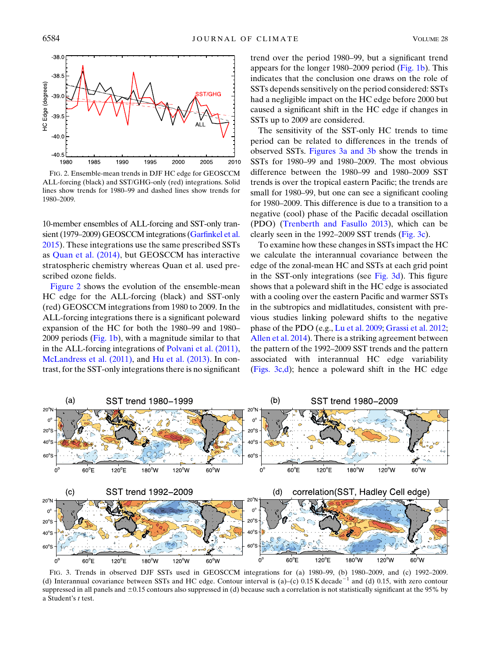<span id="page-3-0"></span>

FIG. 2. Ensemble-mean trends in DJF HC edge for GEOSCCM ALL-forcing (black) and SST/GHG-only (red) integrations. Solid lines show trends for 1980–99 and dashed lines show trends for 1980–2009.

10-member ensembles of ALL-forcing and SST-only transient (1979–2009) GEOSCCM integrations ([Garfinkel et al.](#page-5-10) [2015](#page-5-10)). These integrations use the same prescribed SSTs as [Quan et al. \(2014\)](#page-5-9), but GEOSCCM has interactive stratospheric chemistry whereas Quan et al. used prescribed ozone fields.

[Figure 2](#page-3-0) shows the evolution of the ensemble-mean HC edge for the ALL-forcing (black) and SST-only (red) GEOSCCM integrations from 1980 to 2009. In the ALL-forcing integrations there is a significant poleward expansion of the HC for both the 1980–99 and 1980– 2009 periods [\(Fig. 1b](#page-2-0)), with a magnitude similar to that in the ALL-forcing integrations of [Polvani et al. \(2011\),](#page-5-4) [McLandress et al. \(2011\),](#page-5-5) and [Hu et al. \(2013\)](#page-5-7). In contrast, for the SST-only integrations there is no significant trend over the period 1980–99, but a significant trend appears for the longer 1980–2009 period [\(Fig. 1b\)](#page-2-0). This indicates that the conclusion one draws on the role of SSTs depends sensitively on the period considered: SSTs had a negligible impact on the HC edge before 2000 but caused a significant shift in the HC edge if changes in SSTs up to 2009 are considered.

The sensitivity of the SST-only HC trends to time period can be related to differences in the trends of observed SSTs. [Figures 3a and 3b](#page-3-1) show the trends in SSTs for 1980–99 and 1980–2009. The most obvious difference between the 1980–99 and 1980–2009 SST trends is over the tropical eastern Pacific; the trends are small for 1980–99, but one can see a significant cooling for 1980–2009. This difference is due to a transition to a negative (cool) phase of the Pacific decadal oscillation (PDO) [\(Trenberth and Fasullo 2013](#page-5-16)), which can be clearly seen in the 1992–2009 SST trends ([Fig. 3c](#page-3-1)).

To examine how these changes in SSTs impact the HC we calculate the interannual covariance between the edge of the zonal-mean HC and SSTs at each grid point in the SST-only integrations (see [Fig. 3d](#page-3-1)). This figure shows that a poleward shift in the HC edge is associated with a cooling over the eastern Pacific and warmer SSTs in the subtropics and midlatitudes, consistent with previous studies linking poleward shifts to the negative phase of the PDO (e.g., [Lu et al. 2009](#page-5-3); [Grassi et al. 2012;](#page-5-17) [Allen et al. 2014](#page-4-2)). There is a striking agreement between the pattern of the 1992–2009 SST trends and the pattern associated with interannual HC edge variability ([Figs. 3c,d](#page-3-1)); hence a poleward shift in the HC edge

<span id="page-3-1"></span>

FIG. 3. Trends in observed DJF SSTs used in GEOSCCM integrations for (a) 1980–99, (b) 1980–2009, and (c) 1992–2009. (d) Interannual covariance between SSTs and HC edge. Contour interval is (a)–(c) 0.15 K decade<sup>-1</sup> and (d) 0.15, with zero contour suppressed in all panels and  $\pm 0.15$  contours also suppressed in (d) because such a correlation is not statistically significant at the 95% by a Student's t test.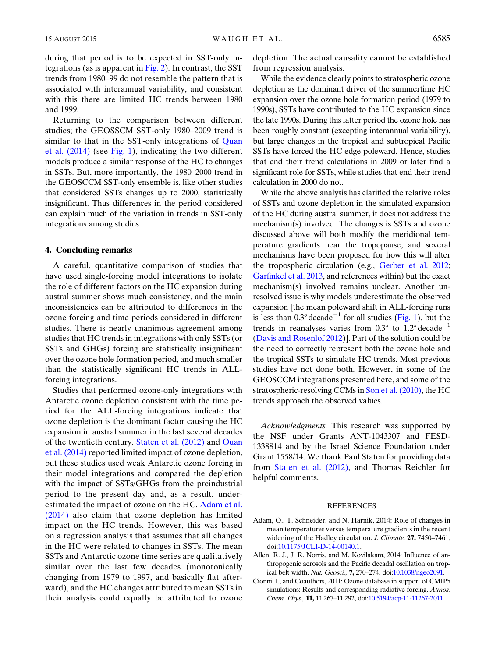during that period is to be expected in SST-only integrations (as is apparent in [Fig. 2\)](#page-3-0). In contrast, the SST trends from 1980–99 do not resemble the pattern that is associated with interannual variability, and consistent with this there are limited HC trends between 1980 and 1999.

Returning to the comparison between different studies; the GEOSSCM SST-only 1980–2009 trend is similar to that in the SST-only integrations of [Quan](#page-5-9) [et al. \(2014\)](#page-5-9) (see [Fig. 1](#page-2-0)), indicating the two different models produce a similar response of the HC to changes in SSTs. But, more importantly, the 1980–2000 trend in the GEOSCCM SST-only ensemble is, like other studies that considered SSTs changes up to 2000, statistically insignificant. Thus differences in the period considered can explain much of the variation in trends in SST-only integrations among studies.

## 4. Concluding remarks

A careful, quantitative comparison of studies that have used single-forcing model integrations to isolate the role of different factors on the HC expansion during austral summer shows much consistency, and the main inconsistencies can be attributed to differences in the ozone forcing and time periods considered in different studies. There is nearly unanimous agreement among studies that HC trends in integrations with only SSTs (or SSTs and GHGs) forcing are statistically insignificant over the ozone hole formation period, and much smaller than the statistically significant HC trends in ALLforcing integrations.

Studies that performed ozone-only integrations with Antarctic ozone depletion consistent with the time period for the ALL-forcing integrations indicate that ozone depletion is the dominant factor causing the HC expansion in austral summer in the last several decades of the twentieth century. [Staten et al. \(2012\)](#page-5-8) and [Quan](#page-5-9) [et al. \(2014\)](#page-5-9) reported limited impact of ozone depletion, but these studies used weak Antarctic ozone forcing in their model integrations and compared the depletion with the impact of SSTs/GHGs from the preindustrial period to the present day and, as a result, underestimated the impact of ozone on the HC. [Adam et al.](#page-4-0) [\(2014\)](#page-4-0) also claim that ozone depletion has limited impact on the HC trends. However, this was based on a regression analysis that assumes that all changes in the HC were related to changes in SSTs. The mean SSTs and Antarctic ozone time series are qualitatively similar over the last few decades (monotonically changing from 1979 to 1997, and basically flat afterward), and the HC changes attributed to mean SSTs in their analysis could equally be attributed to ozone depletion. The actual causality cannot be established from regression analysis.

While the evidence clearly points to stratospheric ozone depletion as the dominant driver of the summertime HC expansion over the ozone hole formation period (1979 to 1990s), SSTs have contributed to the HC expansion since the late 1990s. During this latter period the ozone hole has been roughly constant (excepting interannual variability), but large changes in the tropical and subtropical Pacific SSTs have forced the HC edge poleward. Hence, studies that end their trend calculations in 2009 or later find a significant role for SSTs, while studies that end their trend calculation in 2000 do not.

While the above analysis has clarified the relative roles of SSTs and ozone depletion in the simulated expansion of the HC during austral summer, it does not address the mechanism(s) involved. The changes is SSTs and ozone discussed above will both modify the meridional temperature gradients near the tropopause, and several mechanisms have been proposed for how this will alter the tropospheric circulation (e.g., [Gerber et al. 2012;](#page-5-18) [Garfinkel et al. 2013](#page-5-19), and references within) but the exact mechanism(s) involved remains unclear. Another unresolved issue is why models underestimate the observed expansion [the mean poleward shift in ALL-forcing runs is less than  $0.3^{\circ}$  decade<sup>-1</sup> for all studies [\(Fig. 1\)](#page-2-0), but the trends in reanalyses varies from  $0.3^{\circ}$  to  $1.2^{\circ}$  decade<sup>-1</sup> [\(Davis and Rosenlof 2012\)](#page-5-2)]. Part of the solution could be the need to correctly represent both the ozone hole and the tropical SSTs to simulate HC trends. Most previous studies have not done both. However, in some of the GEOSCCM integrations presented here, and some of the stratospheric-resolving CCMs in [Son et al. \(2010\),](#page-5-6) the HC trends approach the observed values.

Acknowledgments. This research was supported by the NSF under Grants ANT-1043307 and FESD-1338814 and by the Israel Science Foundation under Grant 1558/14. We thank Paul Staten for providing data from [Staten et al. \(2012\),](#page-5-8) and Thomas Reichler for helpful comments.

## REFERENCES

- <span id="page-4-0"></span>Adam, O., T. Schneider, and N. Harnik, 2014: Role of changes in mean temperatures versus temperature gradients in the recent widening of the Hadley circulation. J. Climate, 27, 7450-7461, doi:[10.1175/JCLI-D-14-00140.1.](http://dx.doi.org/10.1175/JCLI-D-14-00140.1)
- <span id="page-4-2"></span>Allen, R. J., J. R. Norris, and M. Kovilakam, 2014: Influence of anthropogenic aerosols and the Pacific decadal oscillation on tropical belt width. Nat. Geosci., 7, 270–274, doi[:10.1038/ngeo2091.](http://dx.doi.org/10.1038/ngeo2091)
- <span id="page-4-1"></span>Cionni, I., and Coauthors, 2011: Ozone database in support of CMIP5 simulations: Results and corresponding radiative forcing. Atmos. Chem. Phys., 11, 11 267–11 292, doi:[10.5194/acp-11-11267-2011.](http://dx.doi.org/10.5194/acp-11-11267-2011)